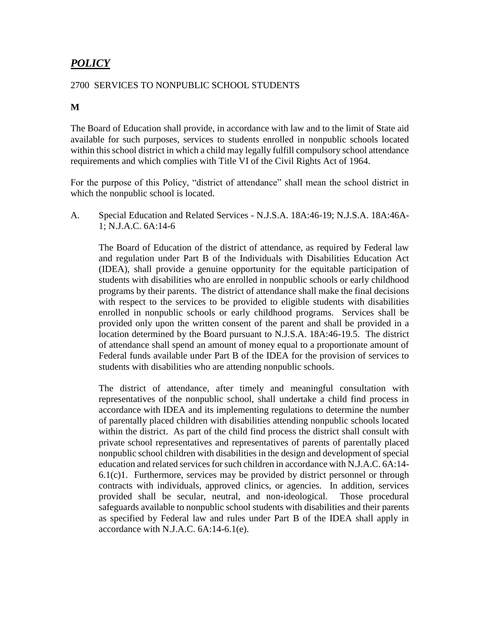# *POLICY*

# 2700 SERVICES TO NONPUBLIC SCHOOL STUDENTS

# **M**

The Board of Education shall provide, in accordance with law and to the limit of State aid available for such purposes, services to students enrolled in nonpublic schools located within this school district in which a child may legally fulfill compulsory school attendance requirements and which complies with Title VI of the Civil Rights Act of 1964.

For the purpose of this Policy, "district of attendance" shall mean the school district in which the nonpublic school is located.

A. Special Education and Related Services - N.J.S.A. 18A:46-19; N.J.S.A. 18A:46A-1; N.J.A.C. 6A:14-6

The Board of Education of the district of attendance, as required by Federal law and regulation under Part B of the Individuals with Disabilities Education Act (IDEA), shall provide a genuine opportunity for the equitable participation of students with disabilities who are enrolled in nonpublic schools or early childhood programs by their parents. The district of attendance shall make the final decisions with respect to the services to be provided to eligible students with disabilities enrolled in nonpublic schools or early childhood programs. Services shall be provided only upon the written consent of the parent and shall be provided in a location determined by the Board pursuant to N.J.S.A. 18A:46-19.5. The district of attendance shall spend an amount of money equal to a proportionate amount of Federal funds available under Part B of the IDEA for the provision of services to students with disabilities who are attending nonpublic schools.

The district of attendance, after timely and meaningful consultation with representatives of the nonpublic school, shall undertake a child find process in accordance with IDEA and its implementing regulations to determine the number of parentally placed children with disabilities attending nonpublic schools located within the district. As part of the child find process the district shall consult with private school representatives and representatives of parents of parentally placed nonpublic school children with disabilities in the design and development of special education and related services for such children in accordance with  $N<sub>L</sub> A C<sub>L</sub> 6A·14 6.1(c)1$ . Furthermore, services may be provided by district personnel or through contracts with individuals, approved clinics, or agencies. In addition, services provided shall be secular, neutral, and non-ideological. Those procedural safeguards available to nonpublic school students with disabilities and their parents as specified by Federal law and rules under Part B of the IDEA shall apply in accordance with N.J.A.C. 6A:14-6.1(e).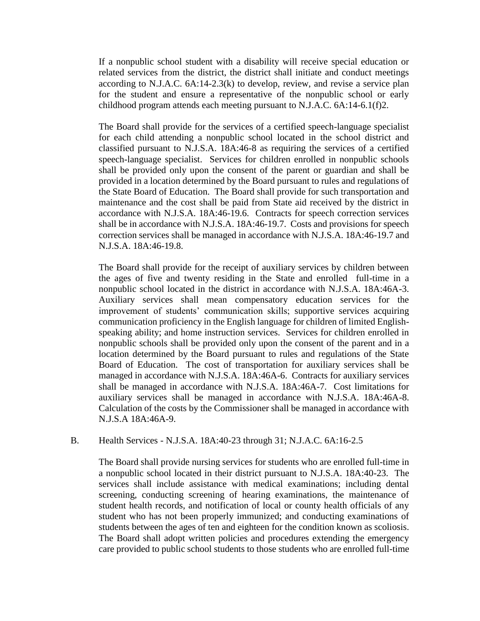If a nonpublic school student with a disability will receive special education or related services from the district, the district shall initiate and conduct meetings according to N.J.A.C. 6A:14-2.3(k) to develop, review, and revise a service plan for the student and ensure a representative of the nonpublic school or early childhood program attends each meeting pursuant to N.J.A.C. 6A:14-6.1(f)2.

The Board shall provide for the services of a certified speech-language specialist for each child attending a nonpublic school located in the school district and classified pursuant to N.J.S.A. 18A:46-8 as requiring the services of a certified speech-language specialist. Services for children enrolled in nonpublic schools shall be provided only upon the consent of the parent or guardian and shall be provided in a location determined by the Board pursuant to rules and regulations of the State Board of Education. The Board shall provide for such transportation and maintenance and the cost shall be paid from State aid received by the district in accordance with N.J.S.A. 18A:46-19.6. Contracts for speech correction services shall be in accordance with N.J.S.A. 18A:46-19.7. Costs and provisions for speech correction services shall be managed in accordance with N.J.S.A. 18A:46-19.7 and N.J.S.A. 18A:46-19.8.

The Board shall provide for the receipt of auxiliary services by children between the ages of five and twenty residing in the State and enrolled full-time in a nonpublic school located in the district in accordance with N.J.S.A. 18A:46A-3. Auxiliary services shall mean compensatory education services for the improvement of students' communication skills; supportive services acquiring communication proficiency in the English language for children of limited Englishspeaking ability; and home instruction services. Services for children enrolled in nonpublic schools shall be provided only upon the consent of the parent and in a location determined by the Board pursuant to rules and regulations of the State Board of Education. The cost of transportation for auxiliary services shall be managed in accordance with N.J.S.A. 18A:46A-6. Contracts for auxiliary services shall be managed in accordance with N.J.S.A. 18A:46A-7. Cost limitations for auxiliary services shall be managed in accordance with N.J.S.A. 18A:46A-8. Calculation of the costs by the Commissioner shall be managed in accordance with N.J.S.A 18A:46A-9.

# B. Health Services - N.J.S.A. 18A:40-23 through 31; N.J.A.C. 6A:16-2.5

The Board shall provide nursing services for students who are enrolled full-time in a nonpublic school located in their district pursuant to N.J.S.A. 18A:40-23. The services shall include assistance with medical examinations; including dental screening, conducting screening of hearing examinations, the maintenance of student health records, and notification of local or county health officials of any student who has not been properly immunized; and conducting examinations of students between the ages of ten and eighteen for the condition known as scoliosis. The Board shall adopt written policies and procedures extending the emergency care provided to public school students to those students who are enrolled full-time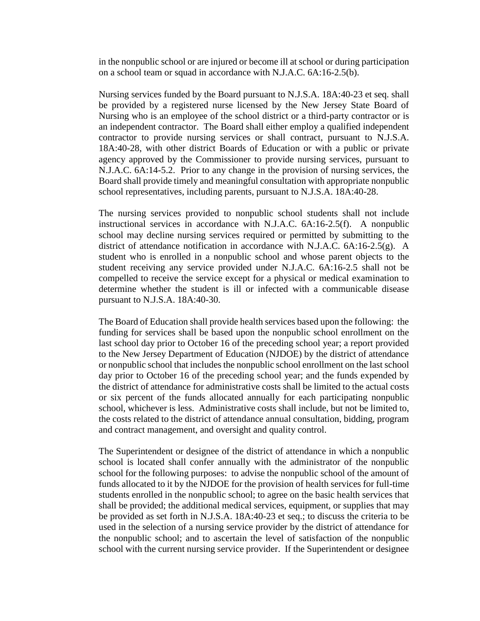in the nonpublic school or are injured or become ill at school or during participation on a school team or squad in accordance with N.J.A.C. 6A:16-2.5(b).

Nursing services funded by the Board pursuant to N.J.S.A. 18A:40-23 et seq. shall be provided by a registered nurse licensed by the New Jersey State Board of Nursing who is an employee of the school district or a third-party contractor or is an independent contractor. The Board shall either employ a qualified independent contractor to provide nursing services or shall contract, pursuant to N.J.S.A. 18A:40-28, with other district Boards of Education or with a public or private agency approved by the Commissioner to provide nursing services, pursuant to N.J.A.C. 6A:14-5.2. Prior to any change in the provision of nursing services, the Board shall provide timely and meaningful consultation with appropriate nonpublic school representatives, including parents, pursuant to N.J.S.A. 18A:40-28.

The nursing services provided to nonpublic school students shall not include instructional services in accordance with N.J.A.C. 6A:16-2.5(f). A nonpublic school may decline nursing services required or permitted by submitting to the district of attendance notification in accordance with N.J.A.C. 6A:16-2.5(g). A student who is enrolled in a nonpublic school and whose parent objects to the student receiving any service provided under N.J.A.C. 6A:16-2.5 shall not be compelled to receive the service except for a physical or medical examination to determine whether the student is ill or infected with a communicable disease pursuant to N.J.S.A. 18A:40-30.

The Board of Education shall provide health services based upon the following: the funding for services shall be based upon the nonpublic school enrollment on the last school day prior to October 16 of the preceding school year; a report provided to the New Jersey Department of Education (NJDOE) by the district of attendance or nonpublic school that includes the nonpublic school enrollment on the last school day prior to October 16 of the preceding school year; and the funds expended by the district of attendance for administrative costs shall be limited to the actual costs or six percent of the funds allocated annually for each participating nonpublic school, whichever is less. Administrative costs shall include, but not be limited to, the costs related to the district of attendance annual consultation, bidding, program and contract management, and oversight and quality control.

The Superintendent or designee of the district of attendance in which a nonpublic school is located shall confer annually with the administrator of the nonpublic school for the following purposes: to advise the nonpublic school of the amount of funds allocated to it by the NJDOE for the provision of health services for full-time students enrolled in the nonpublic school; to agree on the basic health services that shall be provided; the additional medical services, equipment, or supplies that may be provided as set forth in [N.J.S.A. 18A:40-23](https://advance.lexis.com/document/?pdmfid=1000516&crid=ade818a4-e3b3-4031-a37e-03b340d5261a&pddocfullpath=%2Fshared%2Fdocument%2Fadministrative-codes%2Furn%3AcontentItem%3A5NNT-TPJ0-00BY-K4M3-00000-00&pdtocnodeidentifier=AAJAAVAADAAF&ecomp=28htkkk&prid=f64895db-a191-402e-b7af-d2be4c0a88a6) et seq.; to discuss the criteria to be used in the selection of a nursing service provider by the district of attendance for the nonpublic school; and to ascertain the level of satisfaction of the nonpublic school with the current nursing service provider. If the Superintendent or designee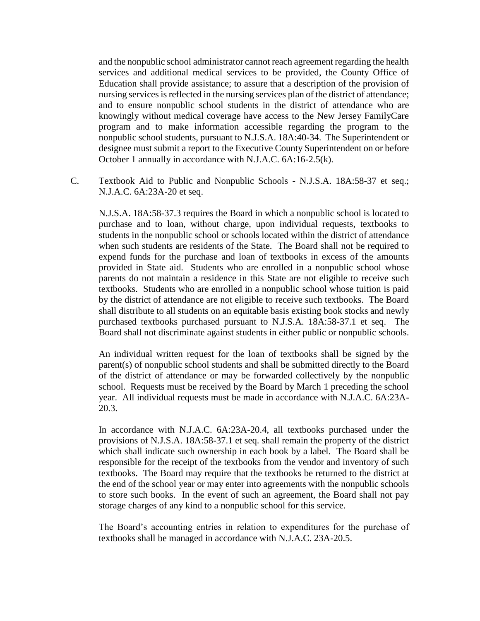and the nonpublic school administrator cannot reach agreement regarding the health services and additional medical services to be provided, the County Office of Education shall provide assistance; to assure that a description of the provision of nursing services is reflected in the nursing services plan of the district of attendance; and to ensure nonpublic school students in the district of attendance who are knowingly without medical coverage have access to the New Jersey FamilyCare program and to make information accessible regarding the program to the nonpublic school students, pursuant to N.J.S.A. 18A:40-34. The Superintendent or designee must submit a report to the Executive County Superintendent on or before October 1 annually in accordance with N.J.A.C. 6A:16-2.5(k).

C. Textbook Aid to Public and Nonpublic Schools - N.J.S.A. 18A:58-37 et seq.; N.J.A.C. 6A:23A-20 et seq.

N.J.S.A. 18A:58-37.3 requires the Board in which a nonpublic school is located to purchase and to loan, without charge, upon individual requests, textbooks to students in the nonpublic school or schools located within the district of attendance when such students are residents of the State. The Board shall not be required to expend funds for the purchase and loan of textbooks in excess of the amounts provided in State aid. Students who are enrolled in a nonpublic school whose parents do not maintain a residence in this State are not eligible to receive such textbooks. Students who are enrolled in a nonpublic school whose tuition is paid by the district of attendance are not eligible to receive such textbooks. The Board shall distribute to all students on an equitable basis existing book stocks and newly purchased textbooks purchased pursuant to N.J.S.A. 18A:58-37.1 et seq. The Board shall not discriminate against students in either public or nonpublic schools.

An individual written request for the loan of textbooks shall be signed by the parent(s) of nonpublic school students and shall be submitted directly to the Board of the district of attendance or may be forwarded collectively by the nonpublic school. Requests must be received by the Board by March 1 preceding the school year. All individual requests must be made in accordance with N.J.A.C. 6A:23A-20.3.

In accordance with N.J.A.C. 6A:23A-20.4, all textbooks purchased under the provisions of N.J.S.A. 18A:58-37.1 et seq. shall remain the property of the district which shall indicate such ownership in each book by a label. The Board shall be responsible for the receipt of the textbooks from the vendor and inventory of such textbooks. The Board may require that the textbooks be returned to the district at the end of the school year or may enter into agreements with the nonpublic schools to store such books. In the event of such an agreement, the Board shall not pay storage charges of any kind to a nonpublic school for this service.

The Board's accounting entries in relation to expenditures for the purchase of textbooks shall be managed in accordance with N.J.A.C. 23A-20.5.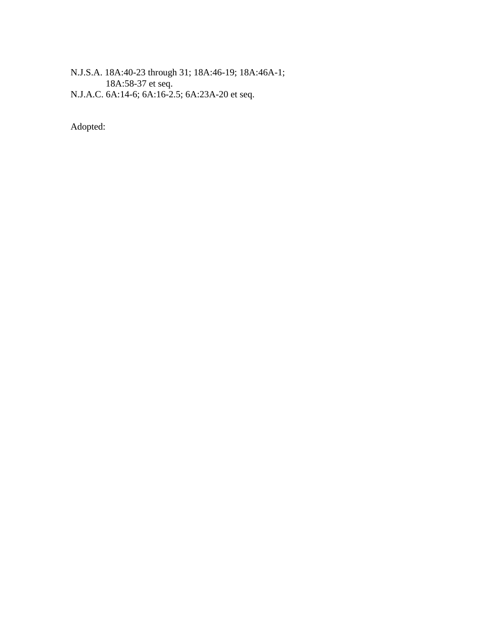N.J.S.A. 18A:40-23 through 31; 18A:46-19; 18A:46A-1; 18A:58-37 et seq. N.J.A.C. 6A:14-6; 6A:16-2.5; 6A:23A-20 et seq.

Adopted: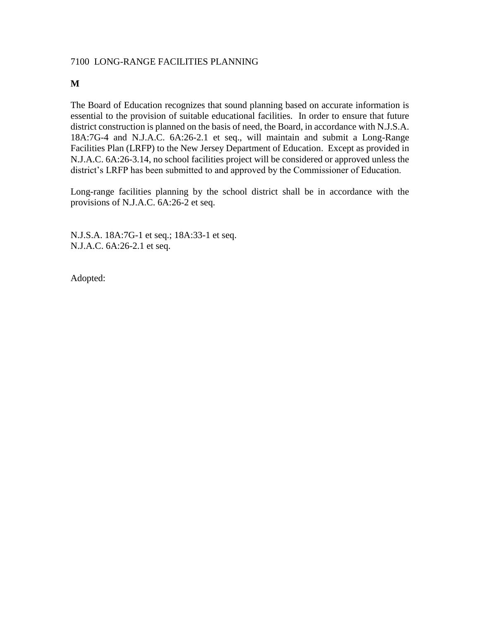# 7100 LONG-RANGE FACILITIES PLANNING

## **M**

The Board of Education recognizes that sound planning based on accurate information is essential to the provision of suitable educational facilities. In order to ensure that future district construction is planned on the basis of need, the Board, in accordance with N.J.S.A. 18A:7G-4 and N.J.A.C. 6A:26-2.1 et seq., will maintain and submit a Long-Range Facilities Plan (LRFP) to the New Jersey Department of Education. Except as provided in N.J.A.C. 6A:26-3.14, no school facilities project will be considered or approved unless the district's LRFP has been submitted to and approved by the Commissioner of Education.

Long-range facilities planning by the school district shall be in accordance with the provisions of N.J.A.C. 6A:26-2 et seq.

N.J.S.A. 18A:7G-1 et seq.; 18A:33-1 et seq. N.J.A.C. 6A:26-2.1 et seq.

Adopted: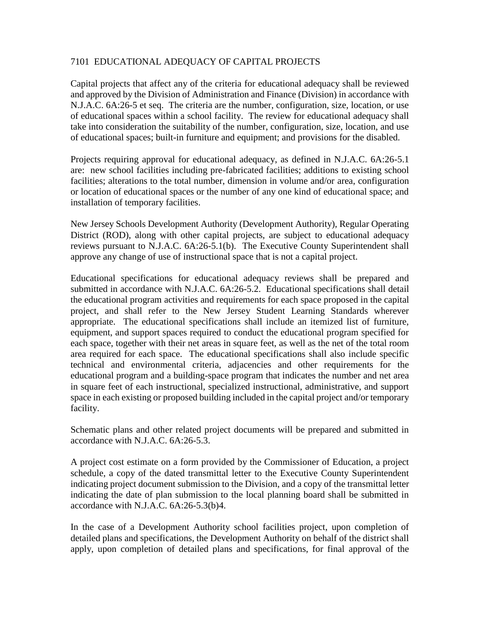# 7101 EDUCATIONAL ADEQUACY OF CAPITAL PROJECTS

Capital projects that affect any of the criteria for educational adequacy shall be reviewed and approved by the Division of Administration and Finance (Division) in accordance with N.J.A.C. 6A:26-5 et seq. The criteria are the number, configuration, size, location, or use of educational spaces within a school facility. The review for educational adequacy shall take into consideration the suitability of the number, configuration, size, location, and use of educational spaces; built-in furniture and equipment; and provisions for the disabled.

Projects requiring approval for educational adequacy, as defined in N.J.A.C. 6A:26-5.1 are: new school facilities including pre-fabricated facilities; additions to existing school facilities; alterations to the total number, dimension in volume and/or area, configuration or location of educational spaces or the number of any one kind of educational space; and installation of temporary facilities.

New Jersey Schools Development Authority (Development Authority), Regular Operating District (ROD), along with other capital projects, are subject to educational adequacy reviews pursuant to N.J.A.C. 6A:26-5.1(b). The Executive County Superintendent shall approve any change of use of instructional space that is not a capital project.

Educational specifications for educational adequacy reviews shall be prepared and submitted in accordance with N.J.A.C. 6A:26-5.2. Educational specifications shall detail the educational program activities and requirements for each space proposed in the capital project, and shall refer to the New Jersey Student Learning Standards wherever appropriate. The educational specifications shall include an itemized list of furniture, equipment, and support spaces required to conduct the educational program specified for each space, together with their net areas in square feet, as well as the net of the total room area required for each space. The educational specifications shall also include specific technical and environmental criteria, adjacencies and other requirements for the educational program and a building-space program that indicates the number and net area in square feet of each instructional, specialized instructional, administrative, and support space in each existing or proposed building included in the capital project and/or temporary facility.

Schematic plans and other related project documents will be prepared and submitted in accordance with N.J.A.C. 6A:26-5.3.

A project cost estimate on a form provided by the Commissioner of Education, a project schedule, a copy of the dated transmittal letter to the Executive County Superintendent indicating project document submission to the Division, and a copy of the transmittal letter indicating the date of plan submission to the local planning board shall be submitted in accordance with N.J.A.C. 6A:26-5.3(b)4.

In the case of a Development Authority school facilities project, upon completion of detailed plans and specifications, the Development Authority on behalf of the district shall apply, upon completion of detailed plans and specifications, for final approval of the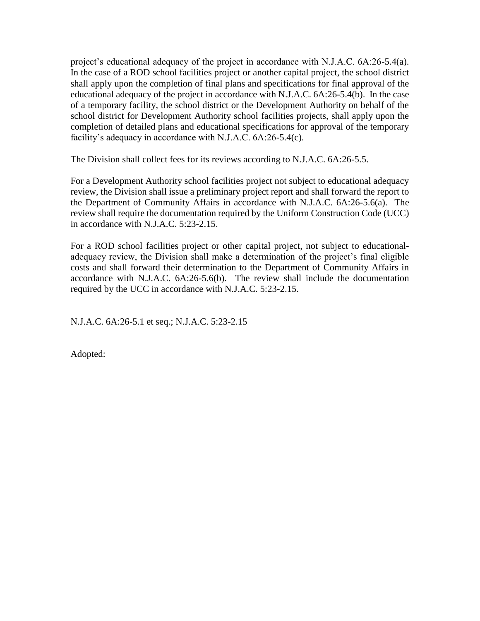project's educational adequacy of the project in accordance with N.J.A.C. 6A:26-5.4(a). In the case of a ROD school facilities project or another capital project, the school district shall apply upon the completion of final plans and specifications for final approval of the educational adequacy of the project in accordance with N.J.A.C. 6A:26-5.4(b). In the case of a temporary facility, the school district or the Development Authority on behalf of the school district for Development Authority school facilities projects, shall apply upon the completion of detailed plans and educational specifications for approval of the temporary facility's adequacy in accordance with N.J.A.C. 6A:26-5.4(c).

The Division shall collect fees for its reviews according to N.J.A.C. 6A:26-5.5.

For a Development Authority school facilities project not subject to educational adequacy review, the Division shall issue a preliminary project report and shall forward the report to the Department of Community Affairs in accordance with N.J.A.C. 6A:26-5.6(a). The review shall require the documentation required by the Uniform Construction Code (UCC) in accordance with N.J.A.C. 5:23-2.15.

For a ROD school facilities project or other capital project, not subject to educationaladequacy review, the Division shall make a determination of the project's final eligible costs and shall forward their determination to the Department of Community Affairs in accordance with N.J.A.C. 6A:26-5.6(b). The review shall include the documentation required by the UCC in accordance with N.J.A.C. 5:23-2.15.

N.J.A.C. 6A:26-5.1 et seq.; N.J.A.C. 5:23-2.15

Adopted: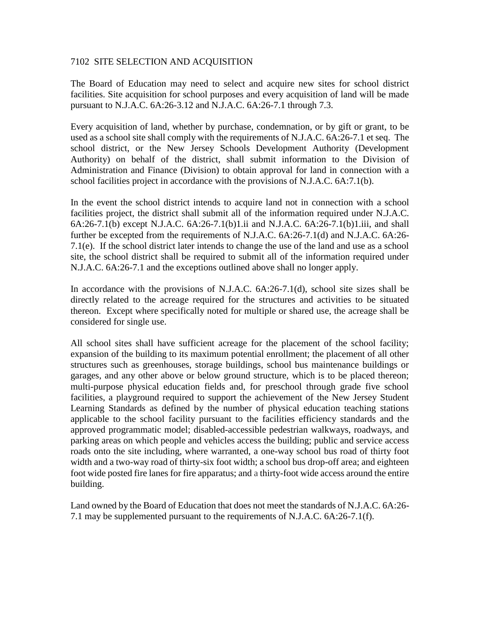### 7102 SITE SELECTION AND ACQUISITION

The Board of Education may need to select and acquire new sites for school district facilities. Site acquisition for school purposes and every acquisition of land will be made pursuant to N.J.A.C. 6A:26-3.12 and N.J.A.C. 6A:26-7.1 through 7.3.

Every acquisition of land, whether by purchase, condemnation, or by gift or grant, to be used as a school site shall comply with the requirements of N.J.A.C. 6A:26-7.1 et seq. The school district, or the New Jersey Schools Development Authority (Development Authority) on behalf of the district, shall submit information to the Division of Administration and Finance (Division) to obtain approval for land in connection with a school facilities project in accordance with the provisions of N.J.A.C. 6A:7.1(b).

In the event the school district intends to acquire land not in connection with a school facilities project, the district shall submit all of the information required under N.J.A.C. 6A:26-7.1(b) except N.J.A.C. 6A:26-7.1(b)1.ii and N.J.A.C. 6A:26-7.1(b)1.iii, and shall further be excepted from the requirements of N.J.A.C. 6A:26-7.1(d) and N.J.A.C. 6A:26- 7.1(e). If the school district later intends to change the use of the land and use as a school site, the school district shall be required to submit all of the information required under N.J.A.C. 6A:26-7.1 and the exceptions outlined above shall no longer apply.

In accordance with the provisions of N.J.A.C. 6A:26-7.1(d), school site sizes shall be directly related to the acreage required for the structures and activities to be situated thereon. Except where specifically noted for multiple or shared use, the acreage shall be considered for single use.

All school sites shall have sufficient acreage for the placement of the school facility; expansion of the building to its maximum potential enrollment; the placement of all other structures such as greenhouses, storage buildings, school bus maintenance buildings or garages, and any other above or below ground structure, which is to be placed thereon; multi-purpose physical education fields and, for preschool through grade five school facilities, a playground required to support the achievement of the New Jersey Student Learning Standards as defined by the number of physical education teaching stations applicable to the school facility pursuant to the facilities efficiency standards and the approved programmatic model; disabled-accessible pedestrian walkways, roadways, and parking areas on which people and vehicles access the building; public and service access roads onto the site including, where warranted, a one-way school bus road of thirty foot width and a two-way road of thirty-six foot width; a school bus drop-off area; and eighteen foot wide posted fire lanes for fire apparatus; and a thirty-foot wide access around the entire building.

Land owned by the Board of Education that does not meet the standards of N.J.A.C. 6A:26- 7.1 may be supplemented pursuant to the requirements of N.J.A.C. 6A:26-7.1(f).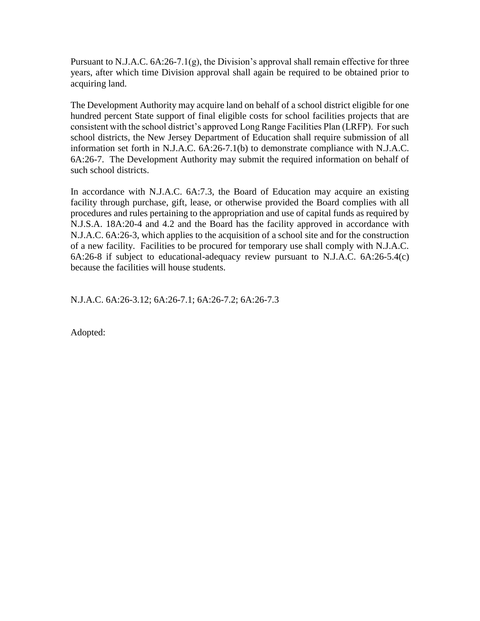Pursuant to N.J.A.C.  $6A:26-7.1(g)$ , the Division's approval shall remain effective for three years, after which time Division approval shall again be required to be obtained prior to acquiring land.

The Development Authority may acquire land on behalf of a school district eligible for one hundred percent State support of final eligible costs for school facilities projects that are consistent with the school district's approved Long Range Facilities Plan (LRFP). For such school districts, the New Jersey Department of Education shall require submission of all information set forth in N.J.A.C. 6A:26-7.1(b) to demonstrate compliance with N.J.A.C. 6A:26-7. The Development Authority may submit the required information on behalf of such school districts.

In accordance with N.J.A.C. 6A:7.3, the Board of Education may acquire an existing facility through purchase, gift, lease, or otherwise provided the Board complies with all procedures and rules pertaining to the appropriation and use of capital funds as required by N.J.S.A. 18A:20-4 and 4.2 and the Board has the facility approved in accordance with N.J.A.C. 6A:26-3, which applies to the acquisition of a school site and for the construction of a new facility. Facilities to be procured for temporary use shall comply with N.J.A.C. 6A:26-8 if subject to educational-adequacy review pursuant to N.J.A.C. 6A:26-5.4(c) because the facilities will house students.

N.J.A.C. 6A:26-3.12; 6A:26-7.1; 6A:26-7.2; 6A:26-7.3

Adopted: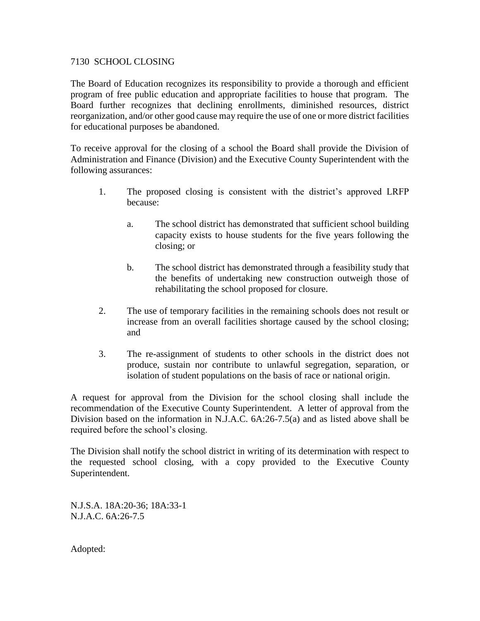### 7130 SCHOOL CLOSING

The Board of Education recognizes its responsibility to provide a thorough and efficient program of free public education and appropriate facilities to house that program. The Board further recognizes that declining enrollments, diminished resources, district reorganization, and/or other good cause may require the use of one or more district facilities for educational purposes be abandoned.

To receive approval for the closing of a school the Board shall provide the Division of Administration and Finance (Division) and the Executive County Superintendent with the following assurances:

- 1. The proposed closing is consistent with the district's approved LRFP because:
	- a. The school district has demonstrated that sufficient school building capacity exists to house students for the five years following the closing; or
	- b. The school district has demonstrated through a feasibility study that the benefits of undertaking new construction outweigh those of rehabilitating the school proposed for closure.
- 2. The use of temporary facilities in the remaining schools does not result or increase from an overall facilities shortage caused by the school closing; and
- 3. The re-assignment of students to other schools in the district does not produce, sustain nor contribute to unlawful segregation, separation, or isolation of student populations on the basis of race or national origin.

A request for approval from the Division for the school closing shall include the recommendation of the Executive County Superintendent. A letter of approval from the Division based on the information in N.J.A.C. 6A:26-7.5(a) and as listed above shall be required before the school's closing.

The Division shall notify the school district in writing of its determination with respect to the requested school closing, with a copy provided to the Executive County Superintendent.

N.J.S.A. 18A:20-36; 18A:33-1 N.J.A.C. 6A:26-7.5

Adopted: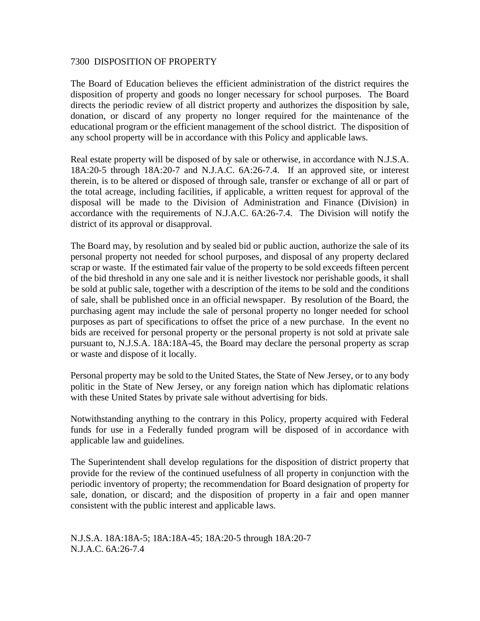#### 7300 DISPOSITION OF PROPERTY

The Board of Education believes the efficient administration of the district requires the disposition of property and goods no longer necessary for school purposes. The Board directs the periodic review of all district property and authorizes the disposition by sale, donation, or discard of any property no longer required for the maintenance of the educational program or the efficient management of the school district. The disposition of any school property will be in accordance with this Policy and applicable laws.

Real estate property will be disposed of by sale or otherwise, in accordance with N.J.S.A. 18A:20-5 through 18A:20-7 and N.J.A.C. 6A:26-7.4. If an approved site, or interest therein, is to be altered or disposed of through sale, transfer or exchange of all or part of the total acreage, including facilities, if applicable, a written request for approval of the disposal will be made to the Division of Administration and Finance (Division) in accordance with the requirements of N.J.A.C. 6A:26-7.4. The Division will notify the district of its approval or disapproval.

The Board may, by resolution and by sealed bid or public auction, authorize the sale of its personal property not needed for school purposes, and disposal of any property declared scrap or waste. If the estimated fair value of the property to be sold exceeds fifteen percent of the bid threshold in any one sale and it is neither livestock nor perishable goods, it shall be sold at public sale, together with a description of the items to be sold and the conditions of sale, shall be published once in an official newspaper. By resolution of the Board, the purchasing agent may include the sale of personal property no longer needed for school purposes as part of specifications to offset the price of a new purchase. In the event no bids are received for personal property or the personal property is not sold at private sale pursuant to, N.J.S.A. 18A:18A-45, the Board may declare the personal property as scrap or waste and dispose of it locally.

Personal property may be sold to the United States, the State of New Jersey, or to any body politic in the State of New Jersey, or any foreign nation which has diplomatic relations with these United States by private sale without advertising for bids.

Notwithstanding anything to the contrary in this Policy, property acquired with Federal funds for use in a Federally funded program will be disposed of in accordance with applicable law and guidelines.

The Superintendent shall develop regulations for the disposition of district property that provide for the review of the continued usefulness of all property in conjunction with the periodic inventory of property; the recommendation for Board designation of property for sale, donation, or discard; and the disposition of property in a fair and open manner consistent with the public interest and applicable laws.

N.J.S.A. 18A:18A-5; 18A:18A-45; 18A:20-5 through 18A:20-7 N.J.A.C. 6A:26-7.4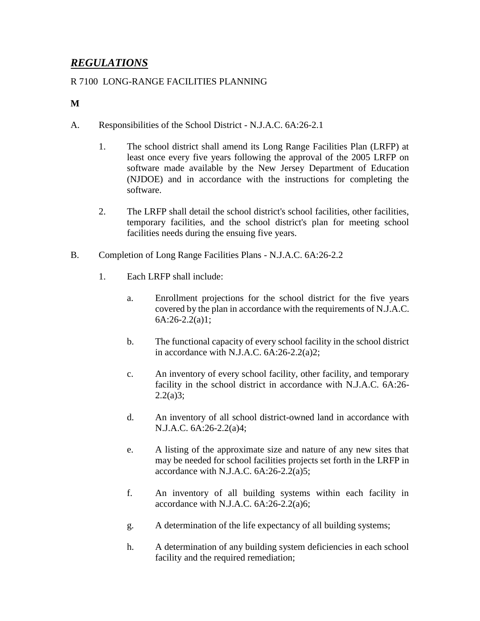# *REGULATIONS*

# R 7100 LONG-RANGE FACILITIES PLANNING

# **M**

- A. Responsibilities of the School District N.J.A.C. 6A:26-2.1
	- 1. The school district shall amend its Long Range Facilities Plan (LRFP) at least once every five years following the approval of the 2005 LRFP on software made available by the New Jersey Department of Education (NJDOE) and in accordance with the instructions for completing the software.
	- 2. The LRFP shall detail the school district's school facilities, other facilities, temporary facilities, and the school district's plan for meeting school facilities needs during the ensuing five years.
- B. Completion of Long Range Facilities Plans N.J.A.C. 6A:26-2.2
	- 1. Each LRFP shall include:
		- a. Enrollment projections for the school district for the five years covered by the plan in accordance with the requirements of N.J.A.C. 6A:26-2.2(a)1;
		- b. The functional capacity of every school facility in the school district in accordance with N.J.A.C. 6A:26-2.2(a)2;
		- c. An inventory of every school facility, other facility, and temporary facility in the school district in accordance with N.J.A.C. 6A:26-  $2.2(a)3;$
		- d. An inventory of all school district-owned land in accordance with N.J.A.C. 6A:26-2.2(a)4;
		- e. A listing of the approximate size and nature of any new sites that may be needed for school facilities projects set forth in the LRFP in accordance with N.J.A.C.  $6A:26-2.2(a)5$ ;
		- f. An inventory of all building systems within each facility in accordance with N.J.A.C.  $6A:26-2.2(a)6$ ;
		- g. A determination of the life expectancy of all building systems;
		- h. A determination of any building system deficiencies in each school facility and the required remediation;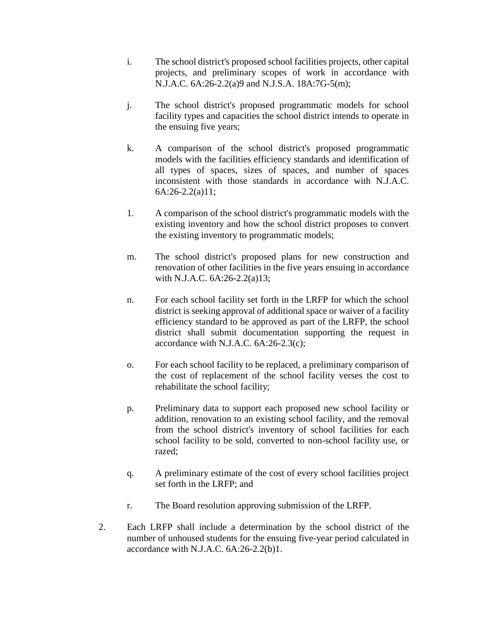- i. The school district's proposed school facilities projects, other capital projects, and preliminary scopes of work in accordance with N.J.A.C. 6A:26-2.2(a)9 and N.J.S.A. 18A:7G-5(m);
- j. The school district's proposed programmatic models for school facility types and capacities the school district intends to operate in the ensuing five years;
- k. A comparison of the school district's proposed programmatic models with the facilities efficiency standards and identification of all types of spaces, sizes of spaces, and number of spaces inconsistent with those standards in accordance with N.J.A.C. 6A:26-2.2(a)11;
- 1. A comparison of the school district's programmatic models with the existing inventory and how the school district proposes to convert the existing inventory to programmatic models;
- m. The school district's proposed plans for new construction and renovation of other facilities in the five years ensuing in accordance with N.J.A.C. 6A:26-2.2(a)13;
- n. For each school facility set forth in the LRFP for which the school district is seeking approval of additional space or waiver of a facility efficiency standard to be approved as part of the LRFP, the school district shall submit documentation supporting the request in accordance with N.J.A.C.  $6A:26-2.3(c)$ ;
- o. For each school facility to be replaced, a preliminary comparison of the cost of replacement of the school facility verses the cost to rehabilitate the school facility;
- p. Preliminary data to support each proposed new school facility or addition, renovation to an existing school facility, and the removal from the school district's inventory of school facilities for each school facility to be sold, converted to non-school facility use, or razed;
- q. A preliminary estimate of the cost of every school facilities project set forth in the LRFP; and
- r. The Board resolution approving submission of the LRFP.
- 2. Each LRFP shall include a determination by the school district of the number of unhoused students for the ensuing five-year period calculated in accordance with N.J.A.C. 6A:26-2.2(b)1.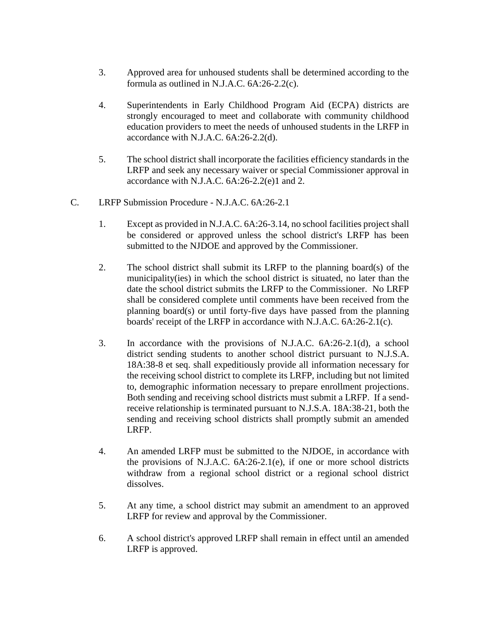- 3. Approved area for unhoused students shall be determined according to the formula as outlined in N.J.A.C. 6A:26-2.2(c).
- 4. Superintendents in Early Childhood Program Aid (ECPA) districts are strongly encouraged to meet and collaborate with community childhood education providers to meet the needs of unhoused students in the LRFP in accordance with N.J.A.C. 6A:26-2.2(d).
- 5. The school district shall incorporate the facilities efficiency standards in the LRFP and seek any necessary waiver or special Commissioner approval in accordance with N.J.A.C. 6A:26-2.2(e)1 and 2.
- C. LRFP Submission Procedure N.J.A.C. 6A:26-2.1
	- 1. Except as provided in N.J.A.C. 6A:26-3.14, no school facilities project shall be considered or approved unless the school district's LRFP has been submitted to the NJDOE and approved by the Commissioner.
	- 2. The school district shall submit its LRFP to the planning board(s) of the municipality(ies) in which the school district is situated, no later than the date the school district submits the LRFP to the Commissioner. No LRFP shall be considered complete until comments have been received from the planning board(s) or until forty-five days have passed from the planning boards' receipt of the LRFP in accordance with N.J.A.C. 6A:26-2.1(c).
	- 3. In accordance with the provisions of N.J.A.C. 6A:26-2.1(d), a school district sending students to another school district pursuant to N.J.S.A. 18A:38-8 et seq. shall expeditiously provide all information necessary for the receiving school district to complete its LRFP, including but not limited to, demographic information necessary to prepare enrollment projections. Both sending and receiving school districts must submit a LRFP. If a sendreceive relationship is terminated pursuant to N.J.S.A. 18A:38-21, both the sending and receiving school districts shall promptly submit an amended LRFP.
	- 4. An amended LRFP must be submitted to the NJDOE, in accordance with the provisions of N.J.A.C. 6A:26-2.1(e), if one or more school districts withdraw from a regional school district or a regional school district dissolves.
	- 5. At any time, a school district may submit an amendment to an approved LRFP for review and approval by the Commissioner.
	- 6. A school district's approved LRFP shall remain in effect until an amended LRFP is approved.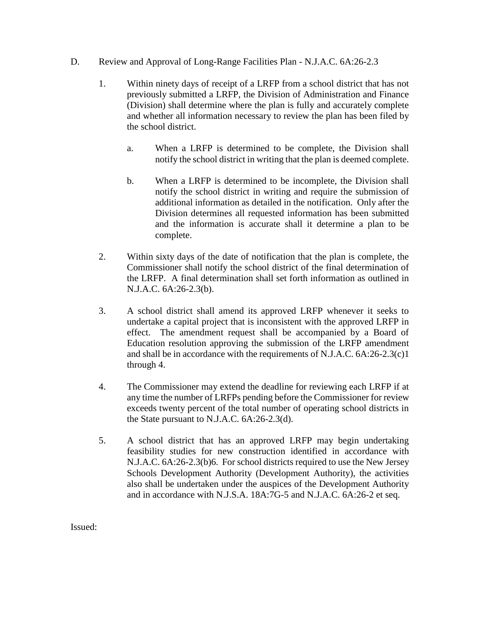- D. Review and Approval of Long-Range Facilities Plan N.J.A.C. 6A:26-2.3
	- 1. Within ninety days of receipt of a LRFP from a school district that has not previously submitted a LRFP, the Division of Administration and Finance (Division) shall determine where the plan is fully and accurately complete and whether all information necessary to review the plan has been filed by the school district.
		- a. When a LRFP is determined to be complete, the Division shall notify the school district in writing that the plan is deemed complete.
		- b. When a LRFP is determined to be incomplete, the Division shall notify the school district in writing and require the submission of additional information as detailed in the notification. Only after the Division determines all requested information has been submitted and the information is accurate shall it determine a plan to be complete.
	- 2. Within sixty days of the date of notification that the plan is complete, the Commissioner shall notify the school district of the final determination of the LRFP. A final determination shall set forth information as outlined in N.J.A.C. 6A:26-2.3(b).
	- 3. A school district shall amend its approved LRFP whenever it seeks to undertake a capital project that is inconsistent with the approved LRFP in effect. The amendment request shall be accompanied by a Board of Education resolution approving the submission of the LRFP amendment and shall be in accordance with the requirements of N.J.A.C. 6A:26-2.3(c)1 through 4.
	- 4. The Commissioner may extend the deadline for reviewing each LRFP if at any time the number of LRFPs pending before the Commissioner for review exceeds twenty percent of the total number of operating school districts in the State pursuant to N.J.A.C. 6A:26-2.3(d).
	- 5. A school district that has an approved LRFP may begin undertaking feasibility studies for new construction identified in accordance with N.J.A.C. 6A:26-2.3(b)6. For school districts required to use the New Jersey Schools Development Authority (Development Authority), the activities also shall be undertaken under the auspices of the Development Authority and in accordance with N.J.S.A. 18A:7G-5 and N.J.A.C. 6A:26-2 et seq.

Issued: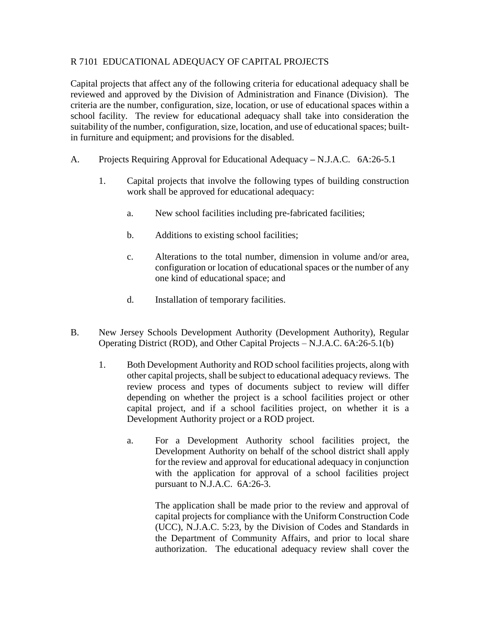# R 7101 EDUCATIONAL ADEQUACY OF CAPITAL PROJECTS

Capital projects that affect any of the following criteria for educational adequacy shall be reviewed and approved by the Division of Administration and Finance (Division). The criteria are the number, configuration, size, location, or use of educational spaces within a school facility. The review for educational adequacy shall take into consideration the suitability of the number, configuration, size, location, and use of educational spaces; builtin furniture and equipment; and provisions for the disabled.

- A. Projects Requiring Approval for Educational Adequacy **–** N.J.A.C. 6A:26-5.1
	- 1. Capital projects that involve the following types of building construction work shall be approved for educational adequacy:
		- a. New school facilities including pre-fabricated facilities;
		- b. Additions to existing school facilities;
		- c. Alterations to the total number, dimension in volume and/or area, configuration or location of educational spaces or the number of any one kind of educational space; and
		- d. Installation of temporary facilities.
- B. New Jersey Schools Development Authority (Development Authority), Regular Operating District (ROD), and Other Capital Projects – N.J.A.C. 6A:26-5.1(b)
	- 1. Both Development Authority and ROD school facilities projects, along with other capital projects, shall be subject to educational adequacy reviews. The review process and types of documents subject to review will differ depending on whether the project is a school facilities project or other capital project, and if a school facilities project, on whether it is a Development Authority project or a ROD project.
		- a. For a Development Authority school facilities project, the Development Authority on behalf of the school district shall apply for the review and approval for educational adequacy in conjunction with the application for approval of a school facilities project pursuant to N.J.A.C. 6A:26-3.

The application shall be made prior to the review and approval of capital projects for compliance with the Uniform Construction Code (UCC), N.J.A.C. 5:23, by the Division of Codes and Standards in the Department of Community Affairs, and prior to local share authorization. The educational adequacy review shall cover the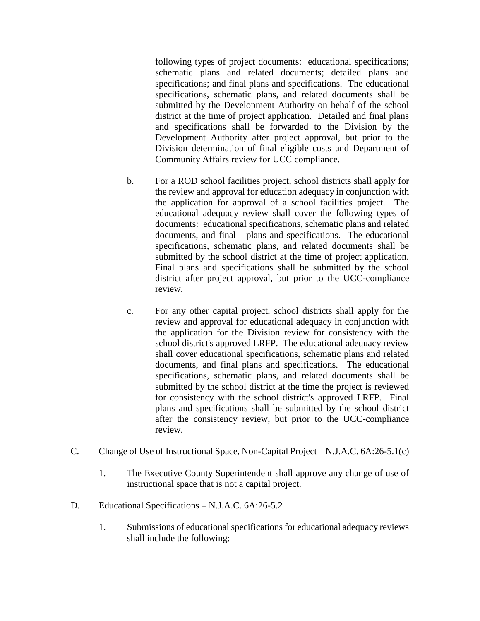following types of project documents: educational specifications; schematic plans and related documents; detailed plans and specifications; and final plans and specifications. The educational specifications, schematic plans, and related documents shall be submitted by the Development Authority on behalf of the school district at the time of project application. Detailed and final plans and specifications shall be forwarded to the Division by the Development Authority after project approval, but prior to the Division determination of final eligible costs and Department of Community Affairs review for UCC compliance.

- b. For a ROD school facilities project, school districts shall apply for the review and approval for education adequacy in conjunction with the application for approval of a school facilities project. The educational adequacy review shall cover the following types of documents: educational specifications, schematic plans and related documents, and final plans and specifications. The educational specifications, schematic plans, and related documents shall be submitted by the school district at the time of project application. Final plans and specifications shall be submitted by the school district after project approval, but prior to the UCC-compliance review.
- c. For any other capital project, school districts shall apply for the review and approval for educational adequacy in conjunction with the application for the Division review for consistency with the school district's approved LRFP. The educational adequacy review shall cover educational specifications, schematic plans and related documents, and final plans and specifications. The educational specifications, schematic plans, and related documents shall be submitted by the school district at the time the project is reviewed for consistency with the school district's approved LRFP. Final plans and specifications shall be submitted by the school district after the consistency review, but prior to the UCC-compliance review.
- C. Change of Use of Instructional Space, Non-Capital Project N.J.A.C. 6A:26-5.1(c)
	- 1. The Executive County Superintendent shall approve any change of use of instructional space that is not a capital project.
- D. Educational Specifications **–** N.J.A.C. 6A:26-5.2
	- 1. Submissions of educational specifications for educational adequacy reviews shall include the following: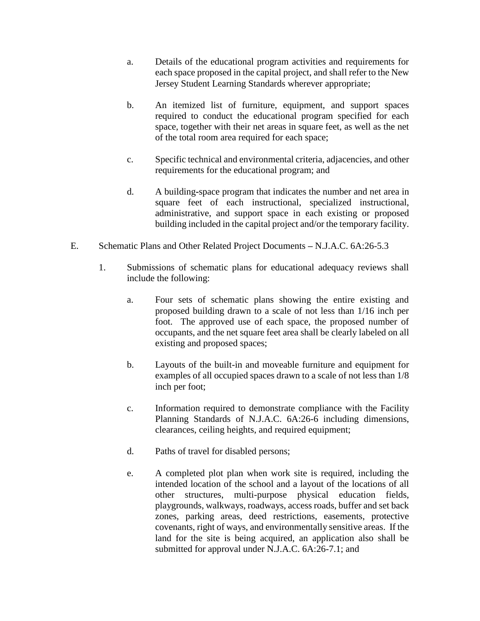- a. Details of the educational program activities and requirements for each space proposed in the capital project, and shall refer to the New Jersey Student Learning Standards wherever appropriate;
- b. An itemized list of furniture, equipment, and support spaces required to conduct the educational program specified for each space, together with their net areas in square feet, as well as the net of the total room area required for each space;
- c. Specific technical and environmental criteria, adjacencies, and other requirements for the educational program; and
- d. A building**-**space program that indicates the number and net area in square feet of each instructional, specialized instructional, administrative, and support space in each existing or proposed building included in the capital project and/or the temporary facility.
- E. Schematic Plans and Other Related Project Documents **–** N.J.A.C. 6A:26-5.3
	- 1. Submissions of schematic plans for educational adequacy reviews shall include the following:
		- a. Four sets of schematic plans showing the entire existing and proposed building drawn to a scale of not less than 1/16 inch per foot. The approved use of each space, the proposed number of occupants, and the net square feet area shall be clearly labeled on all existing and proposed spaces;
		- b. Layouts of the built-in and moveable furniture and equipment for examples of all occupied spaces drawn to a scale of not less than 1/8 inch per foot;
		- c. Information required to demonstrate compliance with the Facility Planning Standards of N.J.A.C. 6A:26-6 including dimensions, clearances, ceiling heights, and required equipment;
		- d. Paths of travel for disabled persons;
		- e. A completed plot plan when work site is required, including the intended location of the school and a layout of the locations of all other structures, multi-purpose physical education fields, playgrounds, walkways, roadways, access roads, buffer and set back zones, parking areas, deed restrictions, easements, protective covenants, right of ways, and environmentally sensitive areas. If the land for the site is being acquired, an application also shall be submitted for approval under N.J.A.C. 6A:26-7.1; and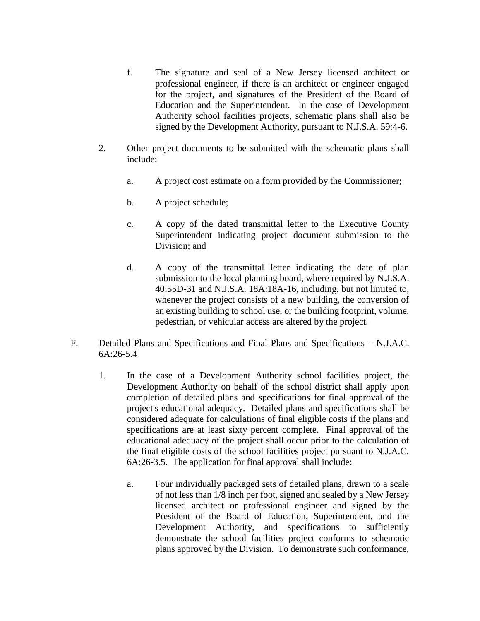- f. The signature and seal of a New Jersey licensed architect or professional engineer, if there is an architect or engineer engaged for the project, and signatures of the President of the Board of Education and the Superintendent. In the case of Development Authority school facilities projects, schematic plans shall also be signed by the Development Authority, pursuant to N.J.S.A. 59:4-6.
- 2. Other project documents to be submitted with the schematic plans shall include:
	- a. A project cost estimate on a form provided by the Commissioner;
	- b. A project schedule;
	- c. A copy of the dated transmittal letter to the Executive County Superintendent indicating project document submission to the Division; and
	- d. A copy of the transmittal letter indicating the date of plan submission to the local planning board, where required by N.J.S.A. 40:55D-31 and N.J.S.A. 18A:18A-16, including, but not limited to, whenever the project consists of a new building, the conversion of an existing building to school use, or the building footprint, volume, pedestrian, or vehicular access are altered by the project.
- F. Detailed Plans and Specifications and Final Plans and Specifications **–** N.J.A.C. 6A:26-5.4
	- 1. In the case of a Development Authority school facilities project, the Development Authority on behalf of the school district shall apply upon completion of detailed plans and specifications for final approval of the project's educational adequacy. Detailed plans and specifications shall be considered adequate for calculations of final eligible costs if the plans and specifications are at least sixty percent complete. Final approval of the educational adequacy of the project shall occur prior to the calculation of the final eligible costs of the school facilities project pursuant to N.J.A.C. 6A:26-3.5. The application for final approval shall include:
		- a. Four individually packaged sets of detailed plans, drawn to a scale of not less than 1/8 inch per foot, signed and sealed by a New Jersey licensed architect or professional engineer and signed by the President of the Board of Education, Superintendent, and the Development Authority, and specifications to sufficiently demonstrate the school facilities project conforms to schematic plans approved by the Division. To demonstrate such conformance,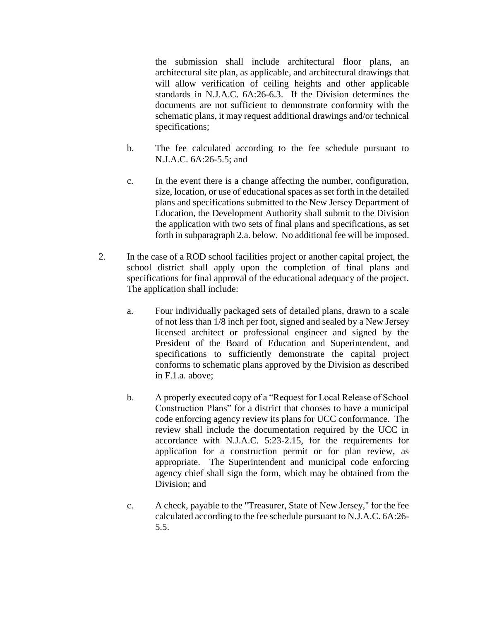the submission shall include architectural floor plans, an architectural site plan, as applicable, and architectural drawings that will allow verification of ceiling heights and other applicable standards in N.J.A.C. 6A:26-6.3. If the Division determines the documents are not sufficient to demonstrate conformity with the schematic plans, it may request additional drawings and/or technical specifications;

- b. The fee calculated according to the fee schedule pursuant to N.J.A.C. 6A:26-5.5; and
- c. In the event there is a change affecting the number, configuration, size, location, or use of educational spaces as set forth in the detailed plans and specifications submitted to the New Jersey Department of Education, the Development Authority shall submit to the Division the application with two sets of final plans and specifications, as set forth in subparagraph 2.a. below. No additional fee will be imposed.
- 2. In the case of a ROD school facilities project or another capital project, the school district shall apply upon the completion of final plans and specifications for final approval of the educational adequacy of the project. The application shall include:
	- a. Four individually packaged sets of detailed plans, drawn to a scale of not less than 1/8 inch per foot, signed and sealed by a New Jersey licensed architect or professional engineer and signed by the President of the Board of Education and Superintendent, and specifications to sufficiently demonstrate the capital project conforms to schematic plans approved by the Division as described in F.1.a. above;
	- b. A properly executed copy of a "Request for Local Release of School Construction Plans" for a district that chooses to have a municipal code enforcing agency review its plans for UCC conformance. The review shall include the documentation required by the UCC in accordance with N.J.A.C. 5:23-2.15, for the requirements for application for a construction permit or for plan review, as appropriate. The Superintendent and municipal code enforcing agency chief shall sign the form, which may be obtained from the Division; and
	- c. A check, payable to the "Treasurer, State of New Jersey," for the fee calculated according to the fee schedule pursuant to N.J.A.C. 6A:26- 5.5.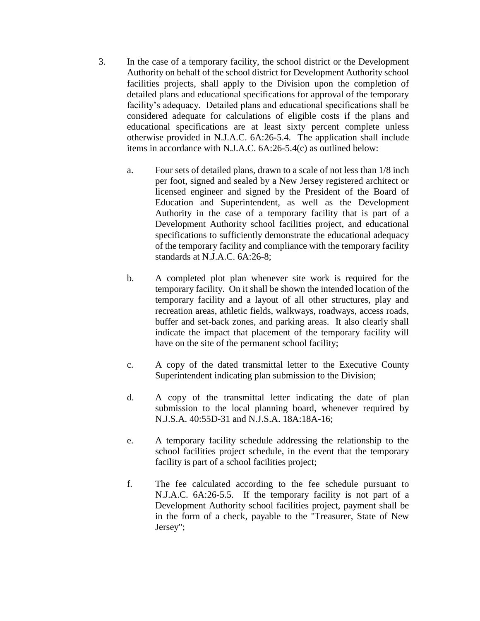- 3. In the case of a temporary facility, the school district or the Development Authority on behalf of the school district for Development Authority school facilities projects, shall apply to the Division upon the completion of detailed plans and educational specifications for approval of the temporary facility's adequacy. Detailed plans and educational specifications shall be considered adequate for calculations of eligible costs if the plans and educational specifications are at least sixty percent complete unless otherwise provided in N.J.A.C. 6A:26-5.4. The application shall include items in accordance with N.J.A.C. 6A:26-5.4(c) as outlined below:
	- a. Four sets of detailed plans, drawn to a scale of not less than 1/8 inch per foot, signed and sealed by a New Jersey registered architect or licensed engineer and signed by the President of the Board of Education and Superintendent, as well as the Development Authority in the case of a temporary facility that is part of a Development Authority school facilities project, and educational specifications to sufficiently demonstrate the educational adequacy of the temporary facility and compliance with the temporary facility standards at N.J.A.C. 6A:26-8;
	- b. A completed plot plan whenever site work is required for the temporary facility. On it shall be shown the intended location of the temporary facility and a layout of all other structures, play and recreation areas, athletic fields, walkways, roadways, access roads, buffer and set-back zones, and parking areas. It also clearly shall indicate the impact that placement of the temporary facility will have on the site of the permanent school facility;
	- c. A copy of the dated transmittal letter to the Executive County Superintendent indicating plan submission to the Division;
	- d. A copy of the transmittal letter indicating the date of plan submission to the local planning board, whenever required by N.J.S.A. 40:55D-31 and N.J.S.A. 18A:18A-16;
	- e. A temporary facility schedule addressing the relationship to the school facilities project schedule, in the event that the temporary facility is part of a school facilities project;
	- f. The fee calculated according to the fee schedule pursuant to N.J.A.C. 6A:26-5.5. If the temporary facility is not part of a Development Authority school facilities project, payment shall be in the form of a check, payable to the "Treasurer, State of New Jersey";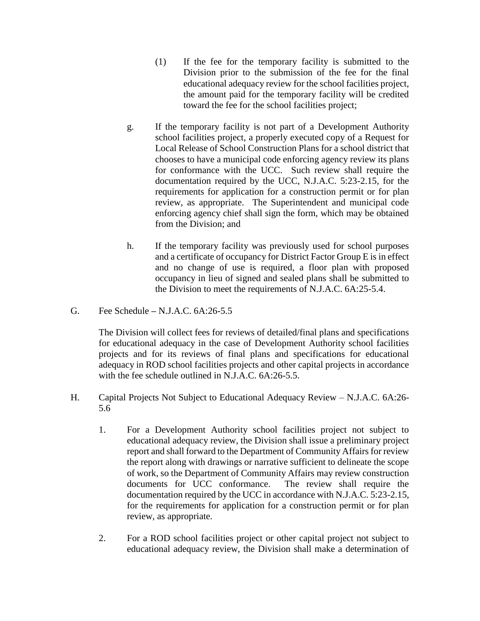- (1) If the fee for the temporary facility is submitted to the Division prior to the submission of the fee for the final educational adequacy review for the school facilities project, the amount paid for the temporary facility will be credited toward the fee for the school facilities project;
- g. If the temporary facility is not part of a Development Authority school facilities project, a properly executed copy of a Request for Local Release of School Construction Plans for a school district that chooses to have a municipal code enforcing agency review its plans for conformance with the UCC. Such review shall require the documentation required by the UCC, N.J.A.C. 5:23-2.15, for the requirements for application for a construction permit or for plan review, as appropriate. The Superintendent and municipal code enforcing agency chief shall sign the form, which may be obtained from the Division; and
- h. If the temporary facility was previously used for school purposes and a certificate of occupancy for District Factor Group E is in effect and no change of use is required, a floor plan with proposed occupancy in lieu of signed and sealed plans shall be submitted to the Division to meet the requirements of N.J.A.C. 6A:25-5.4.
- G. Fee Schedule **–** N.J.A.C. 6A:26-5.5

The Division will collect fees for reviews of detailed/final plans and specifications for educational adequacy in the case of Development Authority school facilities projects and for its reviews of final plans and specifications for educational adequacy in ROD school facilities projects and other capital projects in accordance with the fee schedule outlined in N.J.A.C. 6A:26-5.5.

- H. Capital Projects Not Subject to Educational Adequacy Review N.J.A.C. 6A:26- 5.6
	- 1. For a Development Authority school facilities project not subject to educational adequacy review, the Division shall issue a preliminary project report and shall forward to the Department of Community Affairs for review the report along with drawings or narrative sufficient to delineate the scope of work, so the Department of Community Affairs may review construction documents for UCC conformance. The review shall require the documentation required by the UCC in accordance with N.J.A.C. 5:23-2.15, for the requirements for application for a construction permit or for plan review, as appropriate.
	- 2. For a ROD school facilities project or other capital project not subject to educational adequacy review, the Division shall make a determination of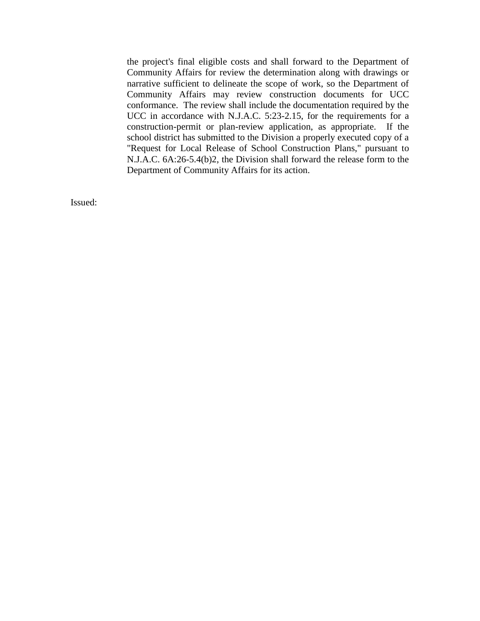the project's final eligible costs and shall forward to the Department of Community Affairs for review the determination along with drawings or narrative sufficient to delineate the scope of work, so the Department of Community Affairs may review construction documents for UCC conformance. The review shall include the documentation required by the UCC in accordance with N.J.A.C. 5:23-2.15, for the requirements for a construction-permit or plan-review application, as appropriate. If the school district has submitted to the Division a properly executed copy of a "Request for Local Release of School Construction Plans," pursuant to N.J.A.C. 6A:26-5.4(b)2, the Division shall forward the release form to the Department of Community Affairs for its action.

Issued: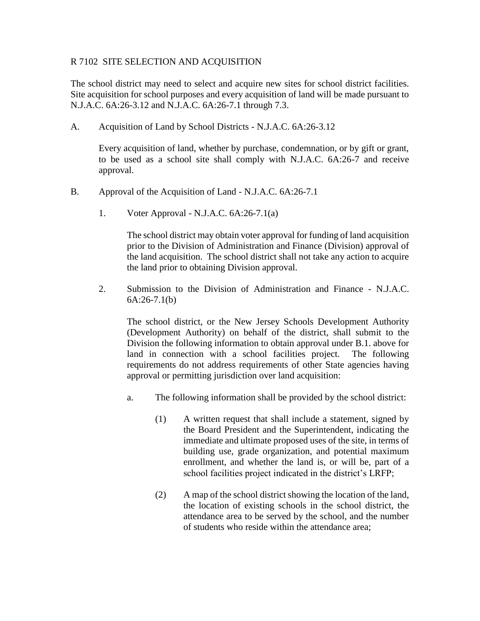# R 7102 SITE SELECTION AND ACQUISITION

The school district may need to select and acquire new sites for school district facilities. Site acquisition for school purposes and every acquisition of land will be made pursuant to N.J.A.C. 6A:26-3.12 and N.J.A.C. 6A:26-7.1 through 7.3.

A. Acquisition of Land by School Districts - N.J.A.C. 6A:26-3.12

Every acquisition of land, whether by purchase, condemnation, or by gift or grant, to be used as a school site shall comply with N.J.A.C. 6A:26-7 and receive approval.

- B. Approval of the Acquisition of Land N.J.A.C. 6A:26-7.1
	- 1. Voter Approval N.J.A.C. 6A:26-7.1(a)

The school district may obtain voter approval for funding of land acquisition prior to the Division of Administration and Finance (Division) approval of the land acquisition. The school district shall not take any action to acquire the land prior to obtaining Division approval.

2. Submission to the Division of Administration and Finance - N.J.A.C. 6A:26-7.1(b)

The school district, or the New Jersey Schools Development Authority (Development Authority) on behalf of the district, shall submit to the Division the following information to obtain approval under B.1. above for land in connection with a school facilities project. The following requirements do not address requirements of other State agencies having approval or permitting jurisdiction over land acquisition:

- a. The following information shall be provided by the school district:
	- (1) A written request that shall include a statement, signed by the Board President and the Superintendent, indicating the immediate and ultimate proposed uses of the site, in terms of building use, grade organization, and potential maximum enrollment, and whether the land is, or will be, part of a school facilities project indicated in the district's LRFP;
	- (2) A map of the school district showing the location of the land, the location of existing schools in the school district, the attendance area to be served by the school, and the number of students who reside within the attendance area;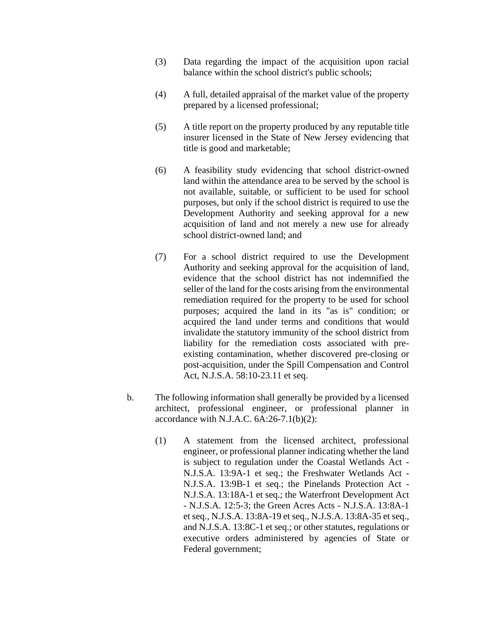- (3) Data regarding the impact of the acquisition upon racial balance within the school district's public schools;
- (4) A full, detailed appraisal of the market value of the property prepared by a licensed professional;
- (5) A title report on the property produced by any reputable title insurer licensed in the State of New Jersey evidencing that title is good and marketable;
- (6) A feasibility study evidencing that school district-owned land within the attendance area to be served by the school is not available, suitable, or sufficient to be used for school purposes, but only if the school district is required to use the Development Authority and seeking approval for a new acquisition of land and not merely a new use for already school district-owned land; and
- (7) For a school district required to use the Development Authority and seeking approval for the acquisition of land, evidence that the school district has not indemnified the seller of the land for the costs arising from the environmental remediation required for the property to be used for school purposes; acquired the land in its "as is" condition; or acquired the land under terms and conditions that would invalidate the statutory immunity of the school district from liability for the remediation costs associated with preexisting contamination, whether discovered pre-closing or post-acquisition, under the Spill Compensation and Control Act, N.J.S.A. 58:10-23.11 et seq.
- b. The following information shall generally be provided by a licensed architect, professional engineer, or professional planner in accordance with N.J.A.C.  $6A:26-7.1(b)(2)$ :
	- (1) A statement from the licensed architect, professional engineer, or professional planner indicating whether the land is subject to regulation under the Coastal Wetlands Act - N.J.S.A. 13:9A-1 et seq.; the Freshwater Wetlands Act - N.J.S.A. 13:9B-1 et seq.; the Pinelands Protection Act - N.J.S.A. 13:18A-1 et seq.; the Waterfront Development Act - N.J.S.A. 12:5-3; the Green Acres Acts - N.J.S.A. 13:8A-1 et seq., N.J.S.A. 13:8A-19 et seq., N.J.S.A. 13:8A-35 et seq., and N.J.S.A. 13:8C-1 et seq.; or other statutes, regulations or executive orders administered by agencies of State or Federal government;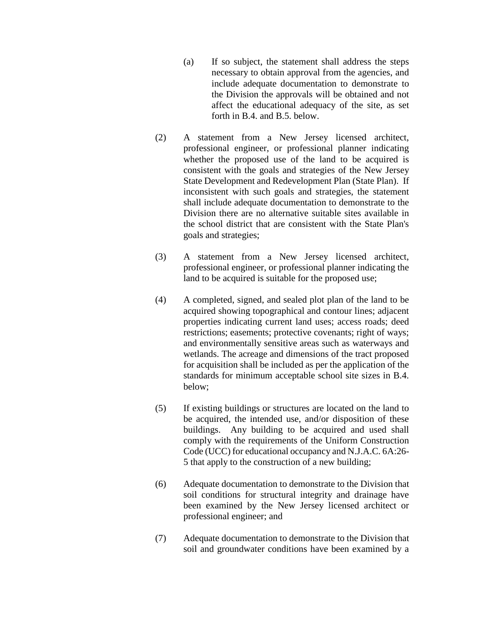- (a) If so subject, the statement shall address the steps necessary to obtain approval from the agencies, and include adequate documentation to demonstrate to the Division the approvals will be obtained and not affect the educational adequacy of the site, as set forth in B.4. and B.5. below.
- (2) A statement from a New Jersey licensed architect, professional engineer, or professional planner indicating whether the proposed use of the land to be acquired is consistent with the goals and strategies of the New Jersey State Development and Redevelopment Plan (State Plan). If inconsistent with such goals and strategies, the statement shall include adequate documentation to demonstrate to the Division there are no alternative suitable sites available in the school district that are consistent with the State Plan's goals and strategies;
- (3) A statement from a New Jersey licensed architect, professional engineer, or professional planner indicating the land to be acquired is suitable for the proposed use;
- (4) A completed, signed, and sealed plot plan of the land to be acquired showing topographical and contour lines; adjacent properties indicating current land uses; access roads; deed restrictions; easements; protective covenants; right of ways; and environmentally sensitive areas such as waterways and wetlands. The acreage and dimensions of the tract proposed for acquisition shall be included as per the application of the standards for minimum acceptable school site sizes in B.4. below;
- (5) If existing buildings or structures are located on the land to be acquired, the intended use, and/or disposition of these buildings. Any building to be acquired and used shall comply with the requirements of the Uniform Construction Code (UCC) for educational occupancy and N.J.A.C. 6A:26- 5 that apply to the construction of a new building;
- (6) Adequate documentation to demonstrate to the Division that soil conditions for structural integrity and drainage have been examined by the New Jersey licensed architect or professional engineer; and
- (7) Adequate documentation to demonstrate to the Division that soil and groundwater conditions have been examined by a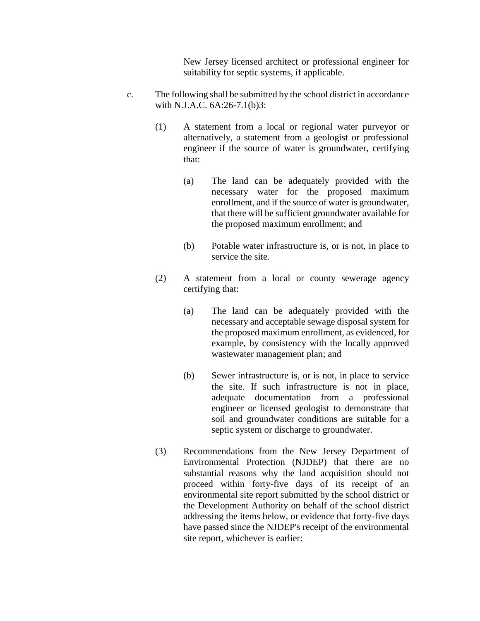New Jersey licensed architect or professional engineer for suitability for septic systems, if applicable.

- c. The following shall be submitted by the school district in accordance with N.J.A.C. 6A:26-7.1(b)3:
	- (1) A statement from a local or regional water purveyor or alternatively, a statement from a geologist or professional engineer if the source of water is groundwater, certifying that:
		- (a) The land can be adequately provided with the necessary water for the proposed maximum enrollment, and if the source of water is groundwater, that there will be sufficient groundwater available for the proposed maximum enrollment; and
		- (b) Potable water infrastructure is, or is not, in place to service the site.
	- (2) A statement from a local or county sewerage agency certifying that:
		- (a) The land can be adequately provided with the necessary and acceptable sewage disposal system for the proposed maximum enrollment, as evidenced, for example, by consistency with the locally approved wastewater management plan; and
		- (b) Sewer infrastructure is, or is not, in place to service the site. If such infrastructure is not in place, adequate documentation from a professional engineer or licensed geologist to demonstrate that soil and groundwater conditions are suitable for a septic system or discharge to groundwater.
	- (3) Recommendations from the New Jersey Department of Environmental Protection (NJDEP) that there are no substantial reasons why the land acquisition should not proceed within forty-five days of its receipt of an environmental site report submitted by the school district or the Development Authority on behalf of the school district addressing the items below, or evidence that forty-five days have passed since the NJDEP's receipt of the environmental site report, whichever is earlier: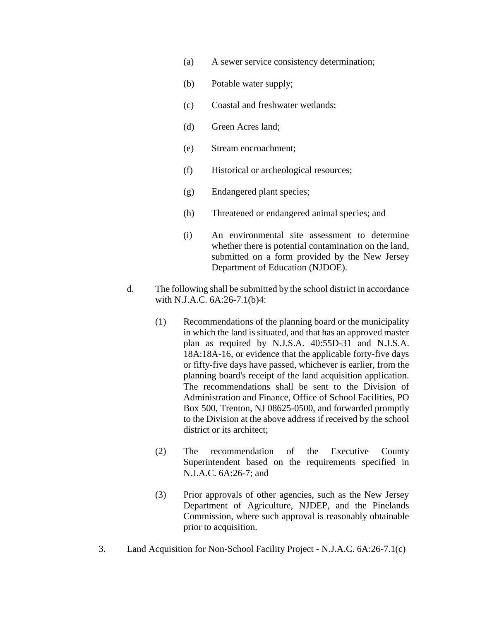- (a) A sewer service consistency determination;
- (b) Potable water supply;
- (c) Coastal and freshwater wetlands;
- (d) Green Acres land;
- (e) Stream encroachment;
- (f) Historical or archeological resources;
- (g) Endangered plant species;
- (h) Threatened or endangered animal species; and
- (i) An environmental site assessment to determine whether there is potential contamination on the land, submitted on a form provided by the New Jersey Department of Education (NJDOE).
- d. The following shall be submitted by the school district in accordance with N.J.A.C. 6A:26-7.1(b)4:
	- (1) Recommendations of the planning board or the municipality in which the land is situated, and that has an approved master plan as required by N.J.S.A. 40:55D-31 and N.J.S.A. 18A:18A-16, or evidence that the applicable forty-five days or fifty-five days have passed, whichever is earlier, from the planning board's receipt of the land acquisition application. The recommendations shall be sent to the Division of Administration and Finance, Office of School Facilities, PO Box 500, Trenton, NJ 08625-0500, and forwarded promptly to the Division at the above address if received by the school district or its architect;
	- (2) The recommendation of the Executive County Superintendent based on the requirements specified in N.J.A.C. 6A:26-7; and
	- (3) Prior approvals of other agencies, such as the New Jersey Department of Agriculture, NJDEP, and the Pinelands Commission, where such approval is reasonably obtainable prior to acquisition.
- 3. Land Acquisition for Non-School Facility Project N.J.A.C. 6A:26-7.1(c)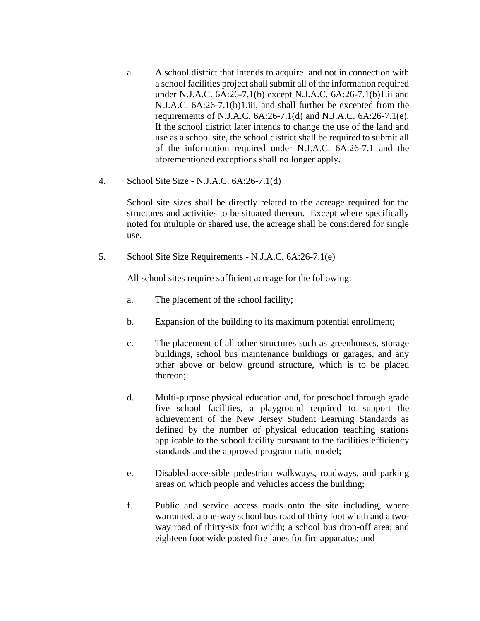- a. A school district that intends to acquire land not in connection with a school facilities project shall submit all of the information required under N.J.A.C. 6A:26-7.1(b) except N.J.A.C. 6A:26-7.1(b)1.ii and N.J.A.C. 6A:26-7.1(b)1.iii, and shall further be excepted from the requirements of N.J.A.C. 6A:26-7.1(d) and N.J.A.C. 6A:26-7.1(e). If the school district later intends to change the use of the land and use as a school site, the school district shall be required to submit all of the information required under N.J.A.C. 6A:26-7.1 and the aforementioned exceptions shall no longer apply.
- 4. School Site Size N.J.A.C. 6A:26-7.1(d)

School site sizes shall be directly related to the acreage required for the structures and activities to be situated thereon. Except where specifically noted for multiple or shared use, the acreage shall be considered for single use.

5. School Site Size Requirements - N.J.A.C. 6A:26-7.1(e)

All school sites require sufficient acreage for the following:

- a. The placement of the school facility;
- b. Expansion of the building to its maximum potential enrollment;
- c. The placement of all other structures such as greenhouses, storage buildings, school bus maintenance buildings or garages, and any other above or below ground structure, which is to be placed thereon;
- d. Multi-purpose physical education and, for preschool through grade five school facilities, a playground required to support the achievement of the New Jersey Student Learning Standards as defined by the number of physical education teaching stations applicable to the school facility pursuant to the facilities efficiency standards and the approved programmatic model;
- e. Disabled-accessible pedestrian walkways, roadways, and parking areas on which people and vehicles access the building;
- f. Public and service access roads onto the site including, where warranted, a one-way school bus road of thirty foot width and a twoway road of thirty-six foot width; a school bus drop-off area; and eighteen foot wide posted fire lanes for fire apparatus; and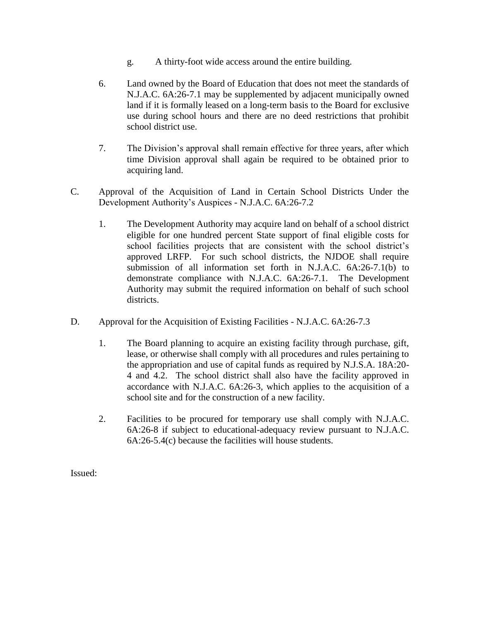- g. A thirty-foot wide access around the entire building.
- 6. Land owned by the Board of Education that does not meet the standards of N.J.A.C. 6A:26-7.1 may be supplemented by adjacent municipally owned land if it is formally leased on a long-term basis to the Board for exclusive use during school hours and there are no deed restrictions that prohibit school district use.
- 7. The Division's approval shall remain effective for three years, after which time Division approval shall again be required to be obtained prior to acquiring land.
- C. Approval of the Acquisition of Land in Certain School Districts Under the Development Authority's Auspices - N.J.A.C. 6A:26-7.2
	- 1. The Development Authority may acquire land on behalf of a school district eligible for one hundred percent State support of final eligible costs for school facilities projects that are consistent with the school district's approved LRFP. For such school districts, the NJDOE shall require submission of all information set forth in N.J.A.C. 6A:26-7.1(b) to demonstrate compliance with N.J.A.C. 6A:26-7.1. The Development Authority may submit the required information on behalf of such school districts.
- D. Approval for the Acquisition of Existing Facilities N.J.A.C. 6A:26-7.3
	- 1. The Board planning to acquire an existing facility through purchase, gift, lease, or otherwise shall comply with all procedures and rules pertaining to the appropriation and use of capital funds as required by N.J.S.A. 18A:20- 4 and 4.2. The school district shall also have the facility approved in accordance with N.J.A.C. 6A:26-3, which applies to the acquisition of a school site and for the construction of a new facility.
	- 2. Facilities to be procured for temporary use shall comply with N.J.A.C. 6A:26-8 if subject to educational-adequacy review pursuant to N.J.A.C. 6A:26-5.4(c) because the facilities will house students.

Issued: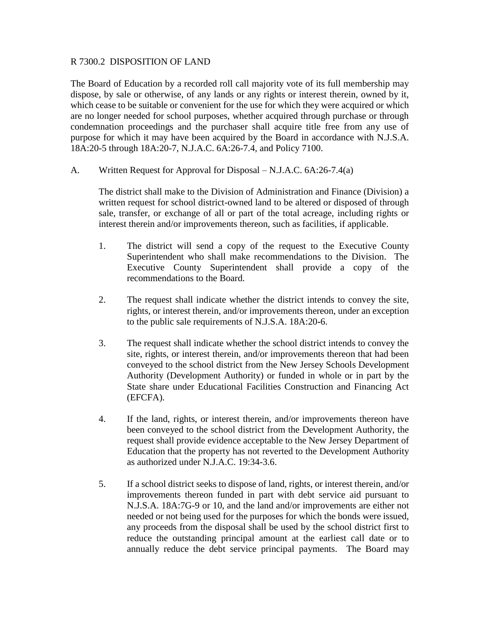## R 7300.2 DISPOSITION OF LAND

The Board of Education by a recorded roll call majority vote of its full membership may dispose, by sale or otherwise, of any lands or any rights or interest therein, owned by it, which cease to be suitable or convenient for the use for which they were acquired or which are no longer needed for school purposes, whether acquired through purchase or through condemnation proceedings and the purchaser shall acquire title free from any use of purpose for which it may have been acquired by the Board in accordance with N.J.S.A. 18A:20-5 through 18A:20-7, N.J.A.C. 6A:26-7.4, and Policy 7100.

A. Written Request for Approval for Disposal – N.J.A.C. 6A:26-7.4(a)

The district shall make to the Division of Administration and Finance (Division) a written request for school district-owned land to be altered or disposed of through sale, transfer, or exchange of all or part of the total acreage, including rights or interest therein and/or improvements thereon, such as facilities, if applicable.

- 1. The district will send a copy of the request to the Executive County Superintendent who shall make recommendations to the Division. The Executive County Superintendent shall provide a copy of the recommendations to the Board.
- 2. The request shall indicate whether the district intends to convey the site, rights, or interest therein, and/or improvements thereon, under an exception to the public sale requirements of N.J.S.A. 18A:20**-**6.
- 3. The request shall indicate whether the school district intends to convey the site, rights, or interest therein, and/or improvements thereon that had been conveyed to the school district from the New Jersey Schools Development Authority (Development Authority) or funded in whole or in part by the State share under Educational Facilities Construction and Financing Act (EFCFA).
- 4. If the land, rights, or interest therein, and/or improvements thereon have been conveyed to the school district from the Development Authority, the request shall provide evidence acceptable to the New Jersey Department of Education that the property has not reverted to the Development Authority as authorized under N.J.A.C. 19:34-3.6.
- 5. If a school district seeks to dispose of land, rights, or interest therein, and/or improvements thereon funded in part with debt service aid pursuant to N.J.S.A. 18A:7G-9 or 10, and the land and/or improvements are either not needed or not being used for the purposes for which the bonds were issued, any proceeds from the disposal shall be used by the school district first to reduce the outstanding principal amount at the earliest call date or to annually reduce the debt service principal payments. The Board may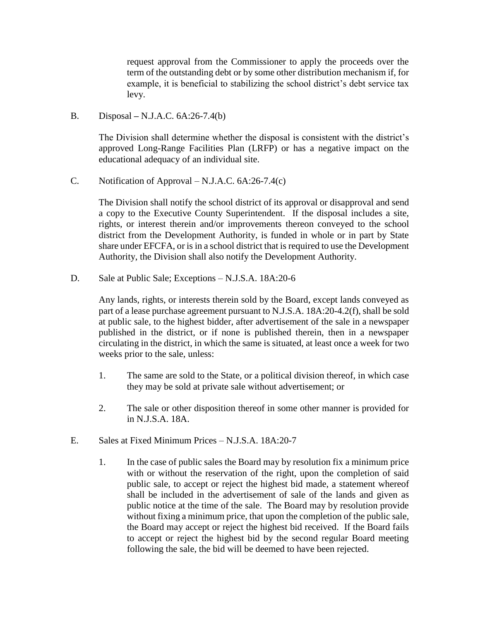request approval from the Commissioner to apply the proceeds over the term of the outstanding debt or by some other distribution mechanism if, for example, it is beneficial to stabilizing the school district's debt service tax levy.

B. Disposal **–** N.J.A.C. 6A:26-7.4(b)

The Division shall determine whether the disposal is consistent with the district's approved Long-Range Facilities Plan (LRFP) or has a negative impact on the educational adequacy of an individual site.

C. Notification of Approval – N.J.A.C. 6A:26-7.4(c)

The Division shall notify the school district of its approval or disapproval and send a copy to the Executive County Superintendent. If the disposal includes a site, rights, or interest therein and/or improvements thereon conveyed to the school district from the Development Authority, is funded in whole or in part by State share under EFCFA, or is in a school district that is required to use the Development Authority, the Division shall also notify the Development Authority.

D. Sale at Public Sale; Exceptions – N.J.S.A. 18A:20-6

Any lands, rights, or interests therein sold by the Board, except lands conveyed as part of a lease purchase agreement pursuant to N.J.S.A. 18A:20-4.2(f), shall be sold at public sale, to the highest bidder, after advertisement of the sale in a newspaper published in the district, or if none is published therein, then in a newspaper circulating in the district, in which the same is situated, at least once a week for two weeks prior to the sale, unless:

- 1. The same are sold to the State, or a political division thereof, in which case they may be sold at private sale without advertisement; or
- 2. The sale or other disposition thereof in some other manner is provided for in N.J.S.A. 18A.
- E. Sales at Fixed Minimum Prices N.J.S.A. 18A:20-7
	- 1. In the case of public sales the Board may by resolution fix a minimum price with or without the reservation of the right, upon the completion of said public sale, to accept or reject the highest bid made, a statement whereof shall be included in the advertisement of sale of the lands and given as public notice at the time of the sale. The Board may by resolution provide without fixing a minimum price, that upon the completion of the public sale, the Board may accept or reject the highest bid received. If the Board fails to accept or reject the highest bid by the second regular Board meeting following the sale, the bid will be deemed to have been rejected.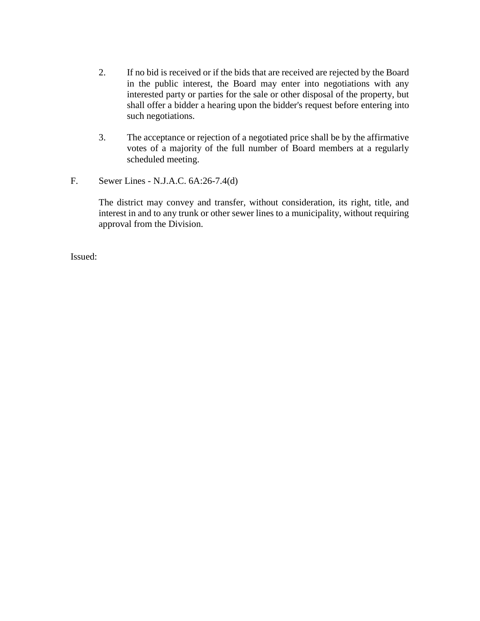- 2. If no bid is received or if the bids that are received are rejected by the Board in the public interest, the Board may enter into negotiations with any interested party or parties for the sale or other disposal of the property, but shall offer a bidder a hearing upon the bidder's request before entering into such negotiations.
- 3. The acceptance or rejection of a negotiated price shall be by the affirmative votes of a majority of the full number of Board members at a regularly scheduled meeting.
- F. Sewer Lines N.J.A.C. 6A:26-7.4(d)

The district may convey and transfer, without consideration, its right, title, and interest in and to any trunk or other sewer lines to a municipality, without requiring approval from the Division.

Issued: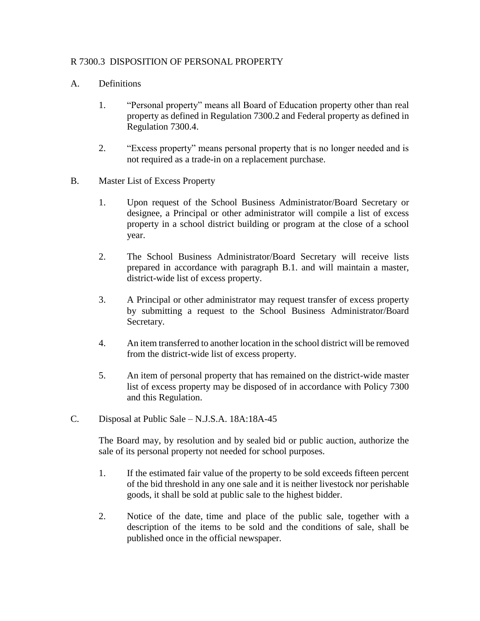# R 7300.3 DISPOSITION OF PERSONAL PROPERTY

# A. Definitions

- 1. "Personal property" means all Board of Education property other than real property as defined in Regulation 7300.2 and Federal property as defined in Regulation 7300.4.
- 2. "Excess property" means personal property that is no longer needed and is not required as a trade-in on a replacement purchase.
- B. Master List of Excess Property
	- 1. Upon request of the School Business Administrator/Board Secretary or designee, a Principal or other administrator will compile a list of excess property in a school district building or program at the close of a school year.
	- 2. The School Business Administrator/Board Secretary will receive lists prepared in accordance with paragraph B.1. and will maintain a master, district-wide list of excess property.
	- 3. A Principal or other administrator may request transfer of excess property by submitting a request to the School Business Administrator/Board Secretary.
	- 4. An item transferred to another location in the school district will be removed from the district-wide list of excess property.
	- 5. An item of personal property that has remained on the district-wide master list of excess property may be disposed of in accordance with Policy 7300 and this Regulation.
- C. Disposal at Public Sale N.J.S.A. 18A:18A-45

The Board may, by resolution and by sealed bid or public auction, authorize the sale of its personal property not needed for school purposes.

- 1. If the estimated fair value of the property to be sold exceeds fifteen percent of the bid threshold in any one sale and it is neither livestock nor perishable goods, it shall be sold at public sale to the highest bidder.
- 2. Notice of the date, time and place of the public sale, together with a description of the items to be sold and the conditions of sale, shall be published once in the official newspaper.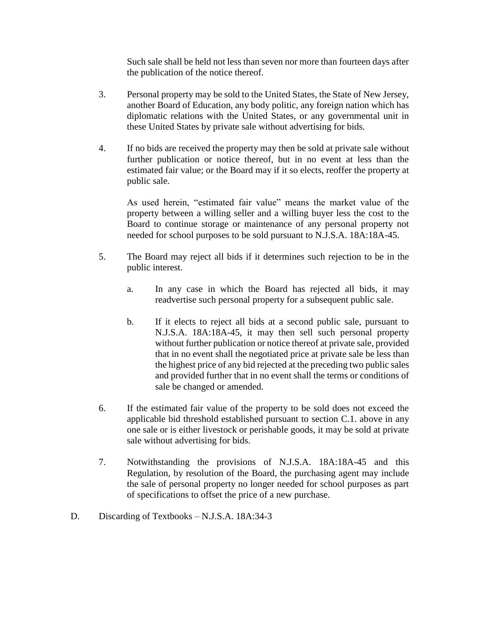Such sale shall be held not less than seven nor more than fourteen days after the publication of the notice thereof.

- 3. Personal property may be sold to the United States, the State of New Jersey, another Board of Education, any body politic, any foreign nation which has diplomatic relations with the United States, or any governmental unit in these United States by private sale without advertising for bids.
- 4. If no bids are received the property may then be sold at private sale without further publication or notice thereof, but in no event at less than the estimated fair value; or the Board may if it so elects, reoffer the property at public sale.

As used herein, "estimated fair value" means the market value of the property between a willing seller and a willing buyer less the cost to the Board to continue storage or maintenance of any personal property not needed for school purposes to be sold pursuant to N.J.S.A. 18A:18A-45.

- 5. The Board may reject all bids if it determines such rejection to be in the public interest.
	- a. In any case in which the Board has rejected all bids, it may readvertise such personal property for a subsequent public sale.
	- b. If it elects to reject all bids at a second public sale, pursuant to N.J.S.A. 18A:18A-45, it may then sell such personal property without further publication or notice thereof at private sale, provided that in no event shall the negotiated price at private sale be less than the highest price of any bid rejected at the preceding two public sales and provided further that in no event shall the terms or conditions of sale be changed or amended.
- 6. If the estimated fair value of the property to be sold does not exceed the applicable bid threshold established pursuant to section C.1. above in any one sale or is either livestock or perishable goods, it may be sold at private sale without advertising for bids.
- 7. Notwithstanding the provisions of N.J.S.A. 18A:18A-45 and this Regulation, by resolution of the Board, the purchasing agent may include the sale of personal property no longer needed for school purposes as part of specifications to offset the price of a new purchase.
- D. Discarding of Textbooks N.J.S.A. 18A:34-3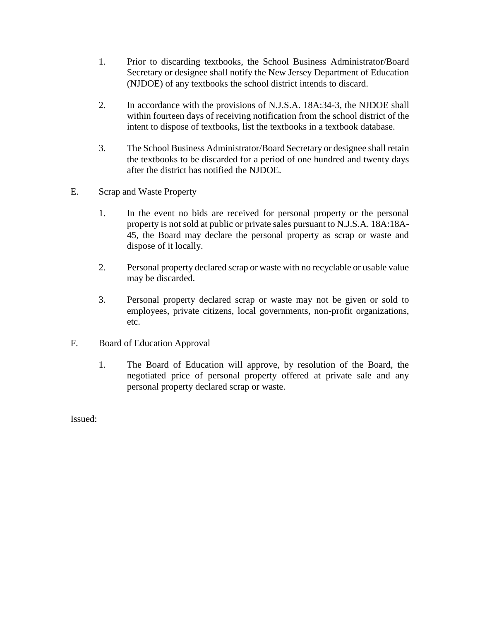- 1. Prior to discarding textbooks, the School Business Administrator/Board Secretary or designee shall notify the New Jersey Department of Education (NJDOE) of any textbooks the school district intends to discard.
- 2. In accordance with the provisions of N.J.S.A. 18A:34-3, the NJDOE shall within fourteen days of receiving notification from the school district of the intent to dispose of textbooks, list the textbooks in a textbook database.
- 3. The School Business Administrator/Board Secretary or designee shall retain the textbooks to be discarded for a period of one hundred and twenty days after the district has notified the NJDOE.
- E. Scrap and Waste Property
	- 1. In the event no bids are received for personal property or the personal property is not sold at public or private sales pursuant to N.J.S.A. 18A:18A-45, the Board may declare the personal property as scrap or waste and dispose of it locally.
	- 2. Personal property declared scrap or waste with no recyclable or usable value may be discarded.
	- 3. Personal property declared scrap or waste may not be given or sold to employees, private citizens, local governments, non-profit organizations, etc.
- F. Board of Education Approval
	- 1. The Board of Education will approve, by resolution of the Board, the negotiated price of personal property offered at private sale and any personal property declared scrap or waste.

Issued: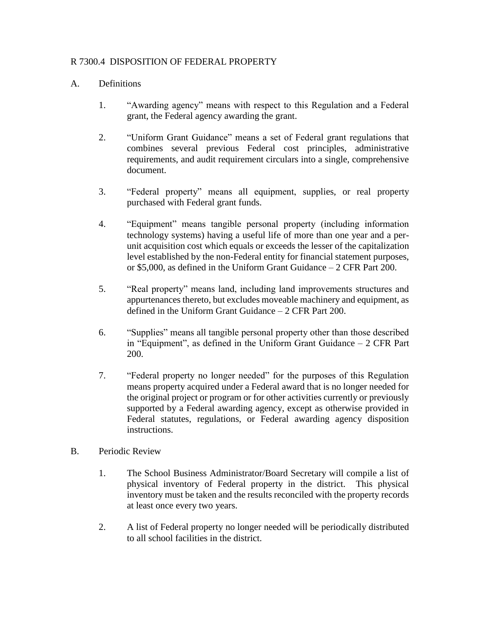# R 7300.4 DISPOSITION OF FEDERAL PROPERTY

## A. Definitions

- 1. "Awarding agency" means with respect to this Regulation and a Federal grant, the Federal agency awarding the grant.
- 2. "Uniform Grant Guidance" means a set of Federal grant regulations that combines several previous Federal cost principles, administrative requirements, and audit requirement circulars into a single, comprehensive document.
- 3. "Federal property" means all equipment, supplies, or real property purchased with Federal grant funds.
- 4. "Equipment" means tangible personal property (including information technology systems) having a useful life of more than one year and a perunit acquisition cost which equals or exceeds the lesser of the capitalization level established by the non-Federal entity for financial statement purposes, or \$5,000, as defined in the Uniform Grant Guidance – 2 CFR Part 200.
- 5. "Real property" means land, including land improvements structures and appurtenances thereto, but excludes moveable machinery and equipment, as defined in the Uniform Grant Guidance – 2 CFR Part 200.
- 6. "Supplies" means all tangible personal property other than those described in "Equipment", as defined in the Uniform Grant Guidance – 2 CFR Part 200.
- 7. "Federal property no longer needed" for the purposes of this Regulation means property acquired under a Federal award that is no longer needed for the original project or program or for other activities currently or previously supported by a Federal awarding agency, except as otherwise provided in Federal statutes, regulations, or Federal awarding agency disposition instructions.

# B. Periodic Review

- 1. The School Business Administrator/Board Secretary will compile a list of physical inventory of Federal property in the district. This physical inventory must be taken and the results reconciled with the property records at least once every two years.
- 2. A list of Federal property no longer needed will be periodically distributed to all school facilities in the district.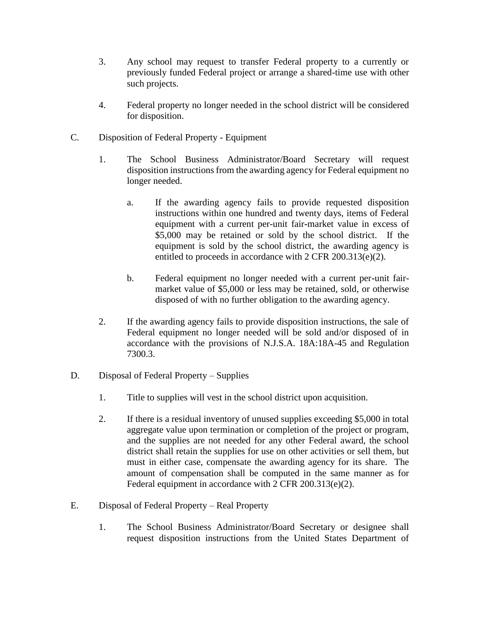- 3. Any school may request to transfer Federal property to a currently or previously funded Federal project or arrange a shared-time use with other such projects.
- 4. Federal property no longer needed in the school district will be considered for disposition.
- C. Disposition of Federal Property Equipment
	- 1. The School Business Administrator/Board Secretary will request disposition instructions from the awarding agency for Federal equipment no longer needed.
		- a. If the awarding agency fails to provide requested disposition instructions within one hundred and twenty days, items of Federal equipment with a current per-unit fair**-**market value in excess of \$5,000 may be retained or sold by the school district. If the equipment is sold by the school district, the awarding agency is entitled to proceeds in accordance with 2 CFR 200.313(e)(2).
		- b. Federal equipment no longer needed with a current per**-**unit fairmarket value of \$5,000 or less may be retained, sold, or otherwise disposed of with no further obligation to the awarding agency.
	- 2. If the awarding agency fails to provide disposition instructions, the sale of Federal equipment no longer needed will be sold and/or disposed of in accordance with the provisions of N.J.S.A. 18A:18A-45 and Regulation 7300.3.
- D. Disposal of Federal Property Supplies
	- 1. Title to supplies will vest in the school district upon acquisition.
	- 2. If there is a residual inventory of unused supplies exceeding \$5,000 in total aggregate value upon termination or completion of the project or program, and the supplies are not needed for any other Federal award, the school district shall retain the supplies for use on other activities or sell them, but must in either case, compensate the awarding agency for its share. The amount of compensation shall be computed in the same manner as for Federal equipment in accordance with 2 CFR 200.313(e)(2).
- E. Disposal of Federal Property Real Property
	- 1. The School Business Administrator/Board Secretary or designee shall request disposition instructions from the United States Department of